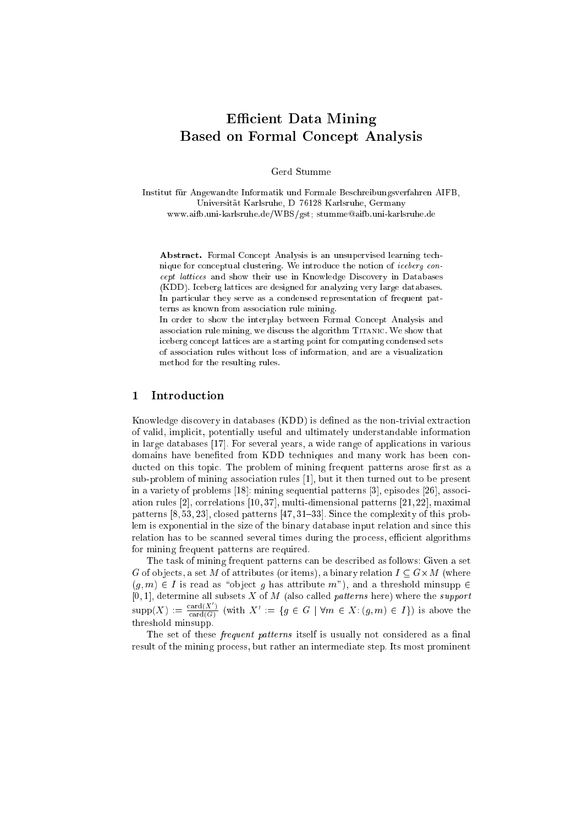# Efficient Data Mining Based on Formal Con
ept Analysis

Gerd Stumme

Institut fur Angewandte Informatik und Formale Bes
hreibungsverfahren AIFB, Universität Karlsruhe, D-76128 Karlsruhe, Germany www.aifb.uni-karlsruhe.de/WBS/gst; stumme@aifb.uni-karlsruhe.de

Abstract. Formal Concept Analysis is an unsupervised learning technique for conceptual clustering. We introduce the notion of *iceberg con*cept lattices and show their use in Knowledge Discovery in Databases (KDD). I
eberg latti
es are designed for analyzing very large databases. In particular they serve as a condensed representation of frequent patterns as known from asso
iation rule mining.

In order to show the interplay between Formal Concept Analysis and association rule mining, we discuss the algorithm TITANIC. We show that iceberg concept lattices are a starting point for computing condensed sets of asso
iation rules without loss of information, and are a visualization method for the resulting rules.

### 1 Introdu
tion

Knowledge discovery in databases (KDD) is defined as the non-trivial extraction of valid, impli
it, potentially useful and ultimately understandable information in large databases [17]. For several years, a wide range of applications in various domains have benefited from KDD techniques and many work has been conducted on this topic. The problem of mining frequent patterns arose first as a sub-problem of mining association rules [1], but it then turned out to be present in a variety of problems  $[18]$ : mining sequential patterns  $[3]$ , episodes  $[26]$ , association rules  $[2]$ , correlations  $[10, 37]$ , multi-dimensional patterns  $[21, 22]$ , maximal patterns  $[8, 53, 23]$ , closed patterns  $[47, 31–33]$ . Since the complexity of this problem is exponential in the size of the binary database input relation and since this relation has to be scanned several times during the process, efficient algorithms for mining frequent patterns are required.

The task of mining frequent patterns an be des
ribed as follows: Given a set G of ob je
ts, a set M of attributes (or items), a binary relation I G-M (where  $(g, m) \in I$  is read as "object g has attribute m"), and a threshold minsupp  $\in$ [0,1], determine all subsets X of M (also called patterns here) where the support  $\operatorname{supp}(X) := \frac{\operatorname{card}(X)}{\log X}$  $\overline{\text{card}(G)}}$  (with  $\Lambda := \{g \in G \mid \forall m \in \Lambda : (g, m) \in I\}$ ) is above the threshold minsupp.

The set of these *frequent patterns* itself is usually not considered as a final result of the mining pro
ess, but rather an intermediate step. Its most prominent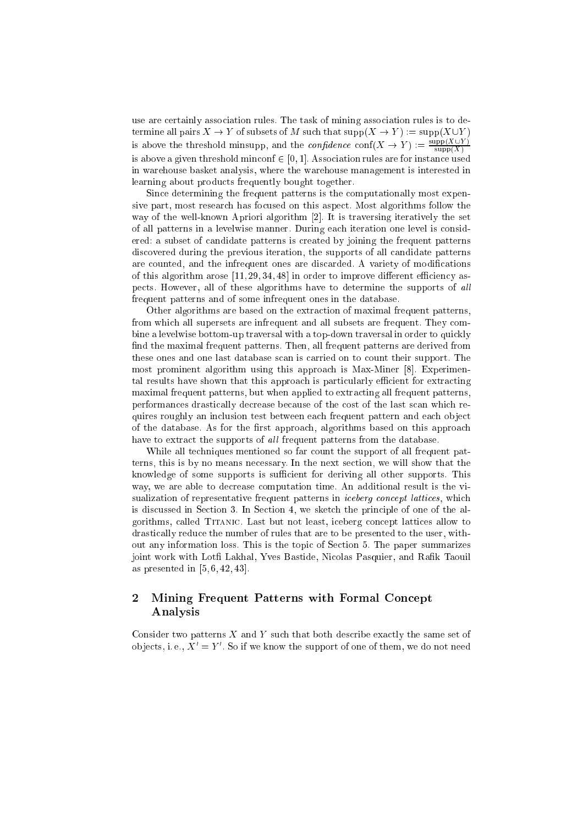use are certainly association rules. The task of mining association rules is to determine all pairs  $X \to Y$  of subsets of M such that  $\text{supp}(X \to Y) := \text{supp}(X \cup Y)$ is above the threshold minimapp, and the *confidence* conf( $X \to Y$ ) :=  $\frac{\supp(X \cup Y)}{\supp(X)}$ is above a given threshold minconf  $\in [0, 1]$ . Association rules are for instance used in warehouse basket analysis, where the warehouse management is interested in learning about products frequently bought together.

Since determining the frequent patterns is the computationally most expensive part, most research has focused on this aspect. Most algorithms follow the way of the well-known Apriori algorithm [2]. It is traversing iteratively the set of all patterns in a levelwise manner. During each iteration one level is considered: a subset of candidate patterns is created by joining the frequent patterns discovered during the previous iteration, the supports of all candidate patterns are counted, and the infrequent ones are discarded. A variety of modifications of this algorithm arose  $[11, 29, 34, 48]$  in order to improve different efficiency aspects. However, all of these algorithms have to determine the supports of all frequent patterns and of some infrequent ones in the database.

Other algorithms are based on the extraction of maximal frequent patterns. from which all supersets are infrequent and all subsets are frequent. They combine a levelwise bottom-up traversal with a top-down traversal in order to quickly find the maximal frequent patterns. Then, all frequent patterns are derived from these ones and one last database scan is carried on to count their support. The most prominent algorithm using this approach is Max-Miner [8]. Experimental results have shown that this approach is particularly efficient for extracting maximal frequent patterns, but when applied to extracting all frequent patterns, performances drastically decrease because of the cost of the last scan which requires roughly an inclusion test between each frequent pattern and each object of the database. As for the first approach, algorithms based on this approach have to extract the supports of all frequent patterns from the database.

While all techniques mentioned so far count the support of all frequent patterns, this is by no means necessary. In the next section, we will show that the knowledge of some supports is sufficient for deriving all other supports. This way, we are able to decrease computation time. An additional result is the visualization of representative frequent patterns in *iceberg concept lattices*, which is discussed in Section 3. In Section 4, we sketch the principle of one of the algorithms, called TITANIC. Last but not least, iceberg concept lattices allow to drastically reduce the number of rules that are to be presented to the user, without any information loss. This is the topic of Section 5. The paper summarizes joint work with Lotfi Lakhal, Yves Bastide, Nicolas Pasquier, and Rafik Taouil as presented in  $[5, 6, 42, 43]$ .

### Mining Frequent Patterns with Formal Concept  $\overline{2}$ Analysis

Consider two patterns  $X$  and  $Y$  such that both describe exactly the same set of objects, i.e.,  $X' = Y'$ . So if we know the support of one of them, we do not need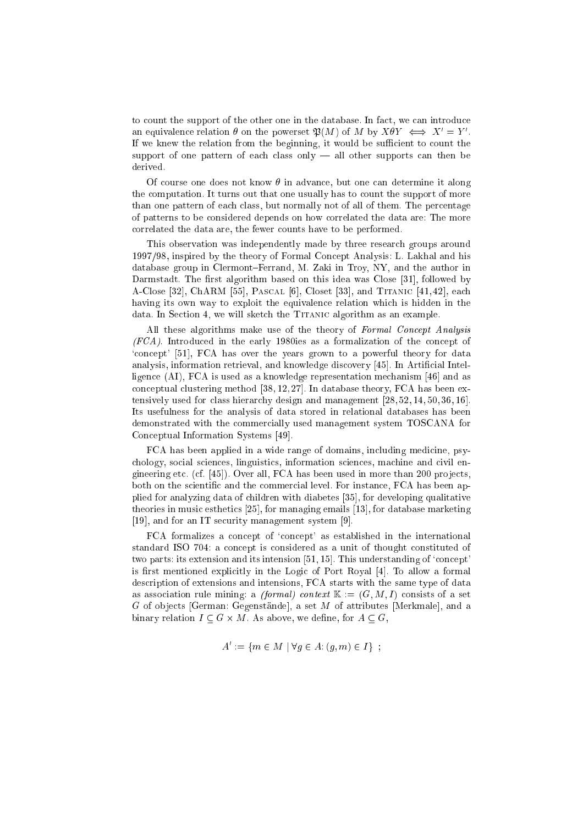to count the support of the other one in the database. In fact, we can introduce an equivalence relation  $\sigma$  on the powerset  $\mathcal{P}(M)$  or  $M$  by  $\Lambda \sigma Y \iff \Lambda = Y$ . If we knew the relation from the beginning, it would be sufficient to count the support of one pattern of each class only  $-$  all other supports can then be derived.

Of course one does not know  $\theta$  in advance, but one can determine it along the computation. It turns out that one usually has to count the support of more than one pattern of each class, but normally not of all of them. The percentage of patterns to be onsidered depends on how orrelated the data are: The more correlated the data are, the fewer counts have to be performed.

This observation was independently made by three resear
h groups around 1997/98, inspired by the theory of Formal Con
ept Analysis: L. Lakhal and his database group in Clermont-Ferrand, M. Zaki in Troy, NY, and the author in Darmstadt. The first algorithm based on this idea was Close [31], followed by  $A$ -Close [32], ChARM [55], PASCAL [6], Closet [33], and TITANIC [41, 42], each having its own way to exploit the equivalence relation which is hidden in the data. In Section 4, we will sketch the TITANIC algorithm as an example.

All these algorithms make use of the theory of Formal Concept Analysis  $(FCA)$ . Introduced in the early 1980ies as a formalization of the concept of 'concept' [51], FCA has over the years grown to a powerful theory for data analysis, information retrieval, and knowledge discovery [45]. In Artificial Intelligence  $(AI)$ , FCA is used as a knowledge representation mechanism [46] and as conceptual clustering method  $[38, 12, 27]$ . In database theory, FCA has been extensively used for class hierarchy design and management  $[28, 52, 14, 50, 36, 16]$ . Its usefulness for the analysis of data stored in relational databases has been demonstrated with the ommer
ially used management system TOSCANA for Conceptual Information Systems [49].

FCA has been applied in a wide range of domains, including medicine, psychology, social sciences, linguistics, information sciences, machine and civil engineering etc. (cf. [45]). Over all, FCA has been used in more than 200 projects, both on the scientific and the commercial level. For instance, FCA has been applied for analyzing data of children with diabetes [35], for developing qualitative theories in music esthetics  $[25]$ , for managing emails  $[13]$ , for database marketing [19], and for an IT security management system [9].

FCA formalizes a concept of 'concept' as established in the international standard ISO 704: a concept is considered as a unit of thought constituted of two parts: its extension and its intension  $[51, 15]$ . This understanding of 'concept' is first mentioned explicitly in the Logic of Port Royal  $[4]$ . To allow a formal des
ription of extensions and intensions, FCA starts with the same type of data as association rule mining: a *(formal)* context  $\mathbb{K} := (G, M, I)$  consists of a set  $G$  of objects [German: Gegenstände], a set  $M$  of attributes [Merkmale], and a binary relations  $\mathbf{r} = \mathbf{c}_0$  , we define the contract of  $\mathbf{r}_0$  and  $\mathbf{r}_1$ 

$$
A' := \{ m \in M \mid \forall g \in A : (g, m) \in I \} ;
$$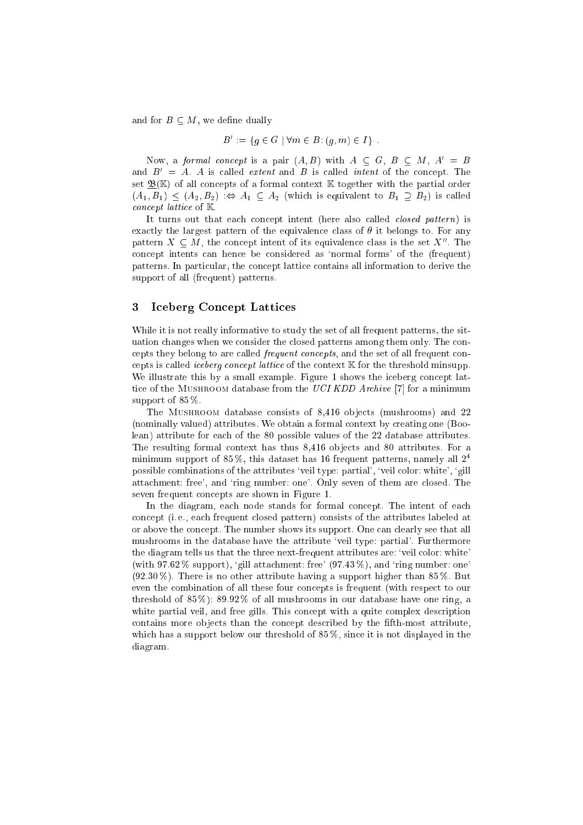and for  $B \subset M$ , we define dually

$$
B' := \{ g \in G \mid \forall m \in B : (g, m) \in I \} .
$$

Now, a formal concept is a pair  $(A, B)$  with  $A \subseteq G, B \subseteq M, A' = B$ and  $B' = A$ . A is called *extent* and B is called *intent* of the concept. The set  $\underline{\mathfrak{B}}(\mathbb{K})$  of all concepts of a formal context  $\mathbb K$  together with the partial order  $(A_1, B_1) \leq (A_2, B_2)$   $\Leftrightarrow A_1 \subseteq A_2$  (which is equivalent to  $B_1 \supseteq B_2$ ) is called concept lattice of K.

It turns out that each concept intent (here also called *closed pattern*) is exactly the largest pattern of the equivalence class of  $\theta$  it belongs to. For any pattern  $X \subseteq M$ , the concept intent of its equivalence class is the set  $X$  . The on
ept intents an hen
e be onsidered as `normal forms' of the (frequent) patterns. In particular, the concept lattice contains all information to derive the support of all (frequent) patterns.

#### 3 Iceberg Concept Lattices

While it is not really informative to study the set of all frequent patterns, the situation hanges when we onsider the losed patterns among them only. The on cepts they belong to are called *frequent concepts*, and the set of all frequent concepts is called *iceberg concept lattice* of the context  $\mathbb K$  for the threshold minsupp. We illustrate this by a small example. Figure 1 shows the iceberg concept lattice of the MUSHROOM database from the UCI KDD Archive [7] for a minimum support of 85 %.

The MUSHROOM database consists of 8,416 objects (mushrooms) and 22 (nominally valued) attributes. We obtain a formal ontext by reating one (Boolean) attribute for ea
h of the 80 possible values of the 22 database attributes. The resulting formal context has thus 8,416 objects and 80 attributes. For a minimum support of 85%, this dataset has 16 frequent patterns, namely all  $2<sup>4</sup>$ possible combinations of the attributes 'veil type: partial', 'veil color: white', 'gill attachment: free', and 'ring number: one'. Only seven of them are closed. The seven frequent on
epts are shown in Figure 1.

In the diagram, each node stands for formal concept. The intent of each on
ept (i. e., ea
h frequent losed pattern) onsists of the attributes labeled at or above the concept. The number shows its support. One can clearly see that all mushrooms in the database have the attribute 'veil type: partial'. Furthermore the diagram tells us that the three next-frequent attributes are: 'veil color: white' (with  $97.62\%$  support), 'gill attachment: free'  $(97.43\%)$ , and 'ring number: one' (92.30 %). There is no other attribute having a support higher than 85 %. But even the combination of all these four concepts is frequent (with respect to our threshold of  $85\%$ :  $89.92\%$  of all mushrooms in our database have one ring, a white partial veil, and free gills. This concept with a quite complex description contains more objects than the concept described by the fifth-most attribute, which has a support below our threshold of 85%, since it is not displayed in the diagram.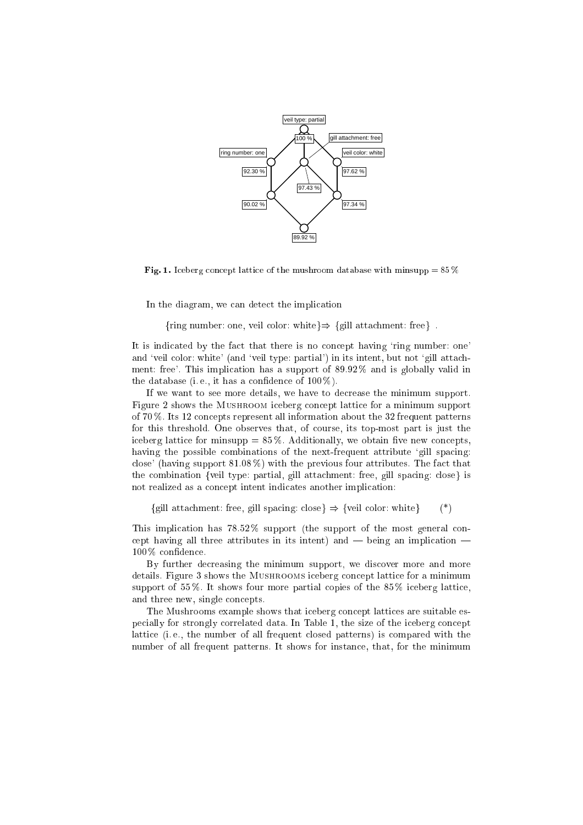

Fig. 1. Iceberg concept lattice of the mushroom database with minsupp =  $85\%$ 

In the diagram, we can detect the implication

{ring number: one, veil color: white}  $\Rightarrow$  {gill attachment: free}.

It is indicated by the fact that there is no concept having 'ring number: one' and 'veil color: white' (and 'veil type: partial') in its intent, but not 'gill attachment: free'. This implication has a support of 89.92% and is globally valid in the database (i.e., it has a confidence of  $100\%$ ).

If we want to see more details, we have to de
rease the minimum support. Figure 2 shows the Mushroom i
eberg on
ept latti
e for a minimum support of 70 %. Its 12 on
epts represent all information about the 32 frequent patterns for this threshold. One observes that, of ourse, its top-most part is just the iceberg lattice for minsupp  $= 85\%$ . Additionally, we obtain five new concepts, having the possible combinations of the next-frequent attribute 'gill spacing: close' (having support  $81.08\%$ ) with the previous four attributes. The fact that the combination {veil type: partial, gill attachment: free, gill spacing: close} is not realized as a on
ept intent indi
ates another impli
ation:

{gill attachment: free, gill spacing: close}  $\Rightarrow$  {veil color: white} (\*)

This implication has  $78.52\%$  support (the support of the most general concept having all three attributes in its intent) and  $-$  being an implication  $100\,\%$  confidence.

By further decreasing the minimum support, we discover more and more details. Figure 3 shows the MUSHROOMS iceberg concept lattice for a minimum support of 55%. It shows four more partial copies of the  $85\%$  iceberg lattice, and three new, single concepts.

The Mushrooms example shows that iceberg concept lattices are suitable especially for strongly correlated data. In Table 1, the size of the iceberg concept lattice (i.e., the number of all frequent closed patterns) is compared with the number of all frequent patterns. It shows for instan
e, that, for the minimum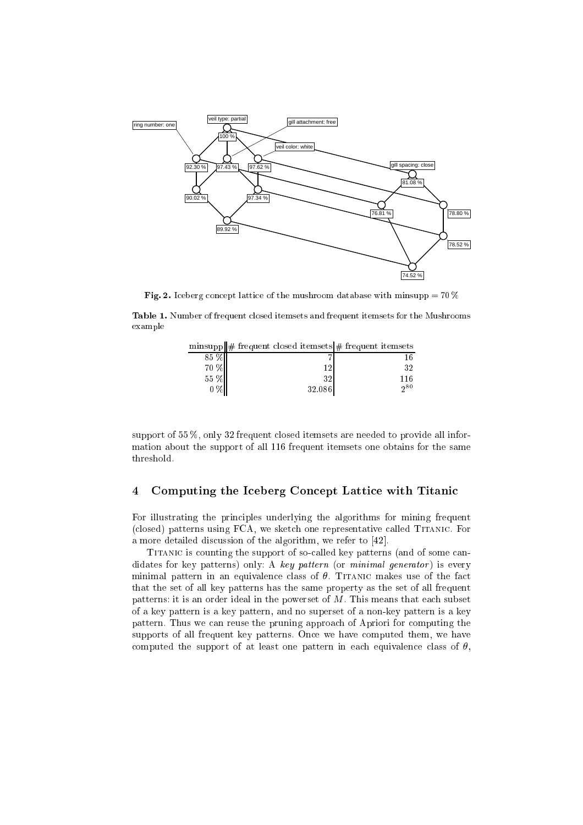

Fig. 2. Iceberg concept lattice of the mushroom database with minsupp =  $70\%$ 

Table 1. Number of frequent closed itemsets and frequent itemsets for the Mushrooms example

|          | $\text{minsupp}  \# \text{ frequent closed items}  \# \text{ frequent items}$ |      |
|----------|-------------------------------------------------------------------------------|------|
| 85 %     |                                                                               |      |
| $70\,\%$ | 1 ດ                                                                           | 32   |
| 55 %     | 32                                                                            | 116  |
|          | 32.086                                                                        | 0.80 |

support of 55 %, only 32 frequent closed itemsets are needed to provide all information about the support of all 116 frequent itemsets one obtains for the same threshold.

## 4 Computing the Iceberg Concept Lattice with Titanic

For illustrating the principles underlying the algorithms for mining frequent (closed) patterns using FCA, we sketch one representative called TITANIC. For a more detailed discussion of the algorithm, we refer to [42].

TITANIC is counting the support of so-called key patterns (and of some candidates for key patterns) only: A key pattern (or minimal generator) is every minimal pattern in an equivalence class of  $\theta$ . TITANIC makes use of the fact that the set of all key patterns has the same property as the set of all frequent patterns: it is an order ideal in the powerset of  $M$ . This means that each subset of a key pattern is a key pattern, and no superset of a non-key pattern is a key pattern. Thus we can reuse the pruning approach of Apriori for computing the supports of all frequent key patterns. On
e we have omputed them, we have computed the support of at least one pattern in each equivalence class of  $\theta$ ,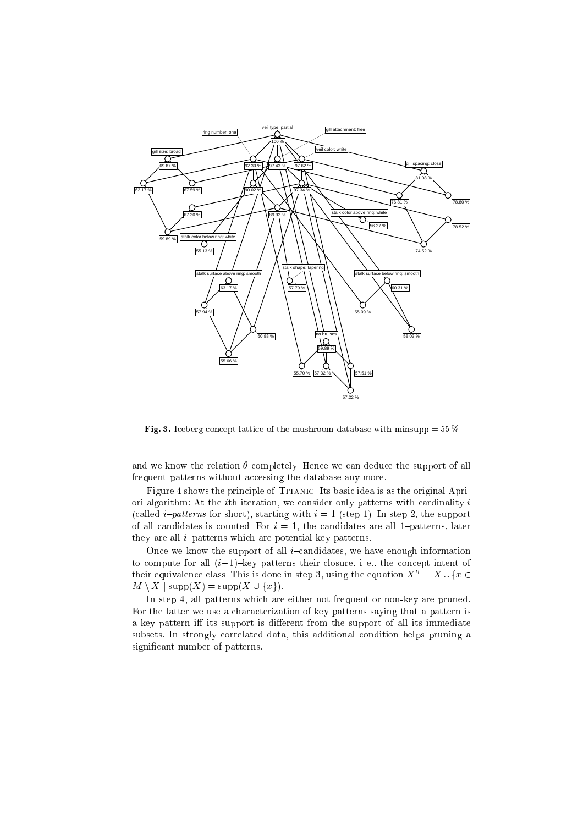

Fig. 3. Iceberg concept lattice of the mushroom database with minsupp =  $55\%$ 

and we know the relation  $\theta$  completely. Hence we can deduce the support of all frequent patterns without accessing the database any more.

Figure 4 shows the principle of TITANIC. Its basic idea is as the original Apriori algorithm: At the *i*th iteration, we consider only patterns with cardinality  $i$ (called *i-patterns* for short), starting with  $i = 1$  (step 1). In step 2, the support of all candidates is counted. For  $i = 1$ , the candidates are all 1-patterns, later they are all  $i$ -patterns which are potential key patterns.

Once we know the support of all *i*-candidates, we have enough information to compute for all  $(i-1)$ -key patterns their closure, i.e., the concept intent of their equivalence class. This is done in step 3, using the equation  $X'' = X \cup \{x \in$  $M \setminus X$  | supp $(X)$  = supp $(X \cup \{x\})$ .

In step 4, all patterns whi
h are either not frequent or non-key are pruned. For the latter we use a characterization of key patterns saying that a pattern is a key pattern iff its support is different from the support of all its immediate subsets. In strongly orrelated data, this additional ondition helps pruning a significant number of patterns.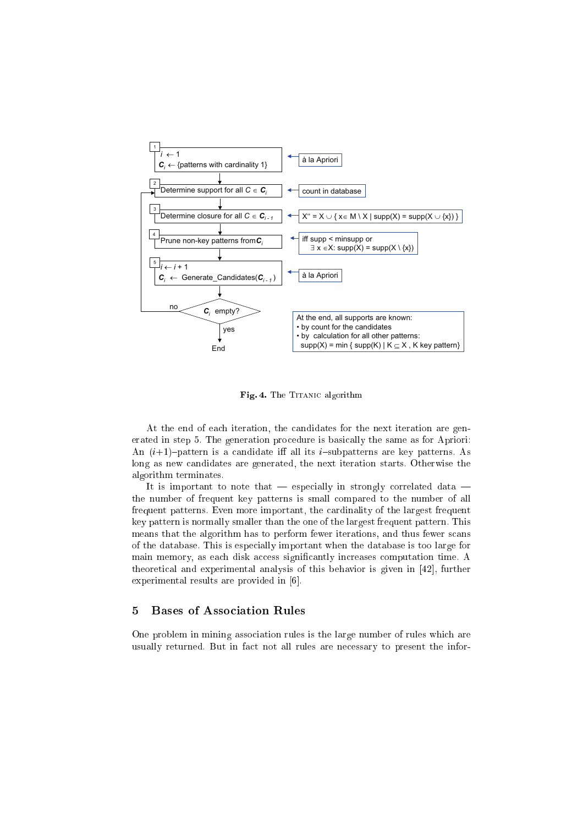

Fig. 4. The TITANIC algorithm

At the end of each iteration, the candidates for the next iteration are generated in step 5. The generation procedure is basically the same as for Apriori: An  $(i+1)$ -pattern is a candidate iff all its *i*-subpatterns are key patterns. As long as new candidates are generated, the next iteration starts. Otherwise the algorithm terminates.

It is important to note that  $-$  especially in strongly correlated data  $$ the number of frequent key patterns is small compared to the number of all frequent patterns. Even more important, the cardinality of the largest frequent key pattern is normally smaller than the one of the largest frequent pattern. This means that the algorithm has to perform fewer iterations, and thus fewer scans of the database. This is especially important when the database is too large for main memory, as each disk access significantly increases computation time. A theoretical and experimental analysis of this behavior is given in [42], further experimental results are provided in  $[6]$ .

#### **Bases of Association Rules**  $\overline{5}$

One problem in mining association rules is the large number of rules which are usually returned. But in fact not all rules are necessary to present the infor-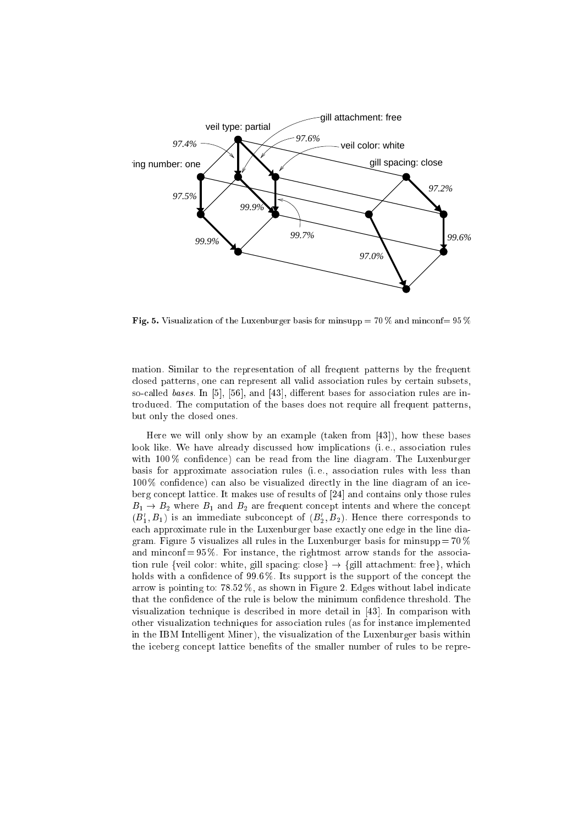

Fig. 5. Visualization of the Luxenburger basis for minsupp  $= 70\%$  and minconf=  $95\%$ 

mation. Similar to the representation of all frequent patterns by the frequent closed patterns, one can represent all valid association rules by certain subsets, so-called bases. In  $[5]$ ,  $[56]$ , and  $[43]$ , different bases for association rules are introdu
ed. The omputation of the bases does not require all frequent patterns, but only the losed ones.

Here we will only show by an example (taken from  $[43]$ ), how these bases look like. We have already discussed how implications (i.e., association rules with  $100\%$  confidence) can be read from the line diagram. The Luxenburger basis for approximate asso
iation rules (i. e., asso
iation rules with less than  $100\%$  confidence) can also be visualized directly in the line diagram of an iceberg concept lattice. It makes use of results of  $[24]$  and contains only those rules  $B_1 \rightarrow B_2$  where  $B_1$  and  $B_2$  are frequent concept intents and where the concept  $(B_1, B_1)$  is an immediate subconcept of  $(B_2, B_2)$ . Hence there corresponds to each approximate rule in the Luxenburger base exactly one edge in the line diagram. Figure 5 visualizes all rules in the Luxenburger basis for minsupp  $= 70\%$ and minconf  $= 95\%$ . For instance, the rightmost arrow stands for the association rule {veil color: white, gill spacing: close}  $\rightarrow$  {gill attachment: free}, which holds with a confidence of 99.6%. Its support is the support of the concept the arrow is pointing to:  $78.52\%$ , as shown in Figure 2. Edges without label indicate that the confidence of the rule is below the minimum confidence threshold. The visualization technique is described in more detail in [43]. In comparison with other visualization te
hniques for asso
iation rules (as for instan
e implemented in the IBM Intelligent Miner), the visualization of the Luxenburger basis within the iceberg concept lattice benefits of the smaller number of rules to be repre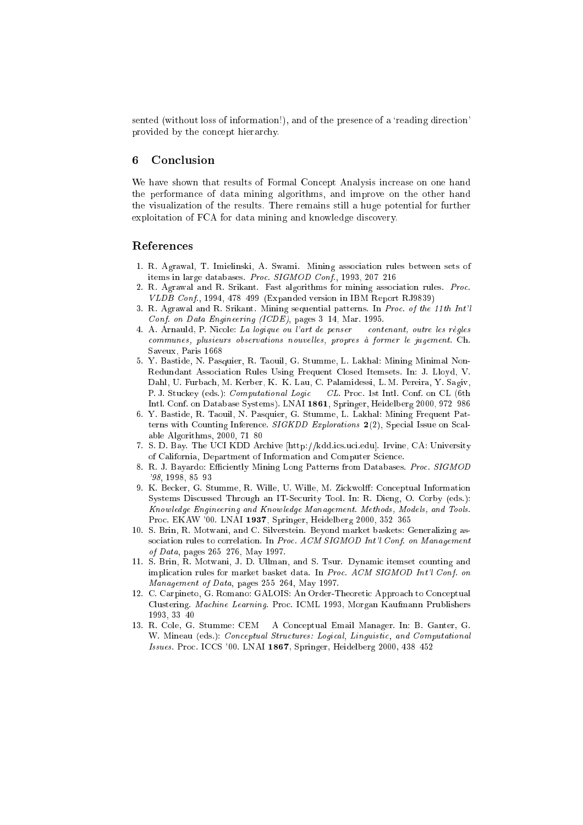sented (without loss of information!), and of the presence of a 'reading direction' provided by the concept hierarchy.

#### Conclusion 6

We have shown that results of Formal Concept Analysis increase on one hand the performance of data mining algorithms, and improve on the other hand the visualization of the results. There remains still a huge potential for further exploitation of FCA for data mining and knowledge discovery.

### References

- 1. R. Agrawal, T. Imielinski, A. Swami. Mining association rules between sets of items in large databases. Proc. SIGMOD Conf., 1993, 207-216
- 2. R. Agrawal and R. Srikant. Fast algorithms for mining association rules. Proc. VLDB Conf., 1994, 478-499 (Expanded version in IBM Report RJ9839)
- 3. R. Agrawal and R. Srikant. Mining sequential patterns. In Proc. of the 11th Int'l Conf. on Data Engineering (ICDE), pages 3-14, Mar. 1995.
- 4. A. Arnauld, P. Nicole: La logique ou l'art de penser contenant, outre les règles communes, plusieurs observations nouvelles, propres à former le jugement. Ch. Saveux, Paris 1668
- 5. Y. Bastide, N. Pasquier, R. Taouil, G. Stumme, L. Lakhal: Mining Minimal Non-Redundant Association Rules Using Frequent Closed Itemsets. In: J. Lloyd, V. Dahl, U. Furbach, M. Kerber, K.-K. Lau, C. Palamidessi, L. M. Pereira, Y. Sagiv, P. J. Stuckey (eds.): *Computational Logic* – CL. Proc. 1st Intl. Conf. on CL (6th Intl. Conf. on Database Systems). LNAI 1861, Springer, Heidelberg 2000, 972-986
- 6. Y. Bastide, R. Taouil, N. Pasquier, G. Stumme, L. Lakhal: Mining Frequent Patterns with Counting Inference.  $SIGKDD$  Explorations 2(2), Special Issue on Scalable Algorithms,  $2000, 71-80$
- 7. S. D. Bay. The UCI KDD Archive [http://kdd.ics.uci.edu]. Irvine, CA: University of California, Department of Information and Computer Science.
- R. J. Bayardo: Efficiently Mining Long Patterns from Databases. Proc. SIGMOD '98, 1998, 85-93
- 9. K. Becker, G. Stumme, R. Wille, U. Wille, M. Zickwolff: Conceptual Information Systems Discussed Through an IT-Security Tool. In: R. Dieng, O. Corby (eds.): Knowledge Engineering and Knowledge Management. Methods, Models, and Tools. Proc. EKAW '00. LNAI 1937, Springer, Heidelberg 2000, 352-365
- 10. S. Brin, R. Motwani, and C. Silverstein. Beyond market baskets: Generalizing association rules to correlation. In Proc. ACM SIGMOD Int'l Conf. on Management of Data, pages 265-276, May 1997.
- 11. S. Brin, R. Motwani, J. D. Ullman, and S. Tsur. Dynamic itemset counting and implication rules for market basket data. In Proc. ACM SIGMOD Int'l Conf. on Management of Data, pages 255-264, May 1997.
- 12. C. Carpineto, G. Romano: GALOIS: An Order-Theoretic Approach to Conceptual Clustering. Machine Learning. Proc. ICML 1993, Morgan Kaufmann Prublishers 1993, 33-40
- 13. R. Cole, G. Stumme: CEM A Conceptual Email Manager. In: B. Ganter, G. W. Mineau (eds.): Conceptual Structures: Logical, Linguistic, and Computational Issues. Proc. ICCS '00. LNAI 1867, Springer, Heidelberg 2000, 438-452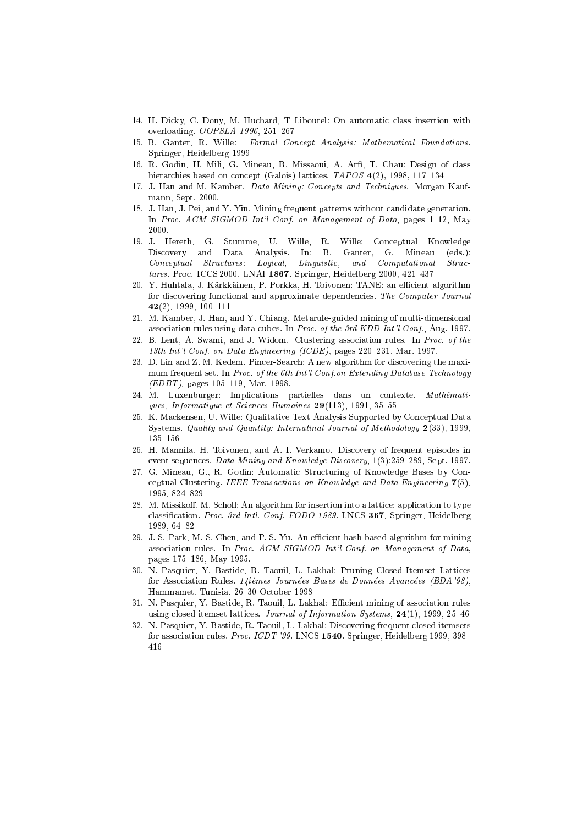- 14. H. Dicky, C. Dony, M. Huchard, T Libourel: On automatic class insertion with overloading. OOPSLA 1996, 251-267
- 15. B. Ganter, R. Wille: Formal Concept Analysis: Mathematical Foundations. Springer, Heidelberg 1999
- 16. R. Godin, H. Mili, G. Mineau, R. Missaoui, A. Arfi, T. Chau: Design of class hierarchies based on concept (Galois) lattices. TAPOS 4(2), 1998, 117-134
- 17. J. Han and M. Kamber. Data Mining: Concepts and Techniques. Morgan Kaufmann, Sept. 2000.
- 18. J. Han, J. Pei, and Y. Yin. Mining frequent patterns without candidate generation. In Proc. ACM SIGMOD Int'l Conf. on Management of Data, pages 1-12, May 2000.
- 19. J. Hereth, G. Stumme, U. Wille, R. Wille: Conceptual Knowledge Discovery and Data Analysis. In: B. Ganter, G. Mineau  $(\text{eds.})$ : Conceptual Structures: Logical, Linguistic, and Computational  $Struc$ tures. Proc. ICCS 2000. LNAI 1867, Springer, Heidelberg 2000, 421-437
- 20. Y. Huhtala, J. Kärkkäinen, P. Porkka, H. Toivonen: TANE: an efficient algorithm for discovering functional and approximate dependencies. The Computer Journal  $42(2)$ , 1999, 100-111
- 21. M. Kamber, J. Han, and Y. Chiang. Metarule-guided mining of multi-dimensional association rules using data cubes. In Proc. of the 3rd KDD Int'l Conf., Aug. 1997.
- 22. B. Lent, A. Swami, and J. Widom. Clustering association rules. In Proc. of the 13th Int'l Conf. on Data Engineering (ICDE), pages 220-231, Mar. 1997.
- 23. D. Lin and Z. M. Kedem. Pincer-Search: A new algorithm for discovering the maximum frequent set. In Proc. of the 6th Int'l Conf. on Extending Database Technology  $(EDBT)$ , pages 105-119, Mar. 1998.
- 24. M. Luxenburger: Implications partielles dans un contexte. Mathématiques, Informatique et Sciences Humaines 29(113), 1991, 35-55
- 25. K. Mackensen, U. Wille: Qualitative Text Analysis Supported by Conceptual Data Systems. Quality and Quantity: Internatinal Journal of Methodology 2(33), 1999,  $135 - 156$
- 26. H. Mannila, H. Toivonen, and A. I. Verkamo. Discovery of frequent episodes in event sequences. Data Mining and Knowledge Discovery, 1(3):259-289, Sept. 1997.
- 27. G. Mineau, G., R. Godin: Automatic Structuring of Knowledge Bases by Conceptual Clustering. IEEE Transactions on Knowledge and Data Engineering  $7(5)$ , 1995, 824-829
- 28. M. Missikoff, M. Scholl: An algorithm for insertion into a lattice: application to type classification. Proc. 3rd Intl. Conf. FODO 1989. LNCS 367, Springer, Heidelberg 1989. 64-82
- 29. J. S. Park, M. S. Chen, and P. S. Yu. An efficient hash based algorithm for mining association rules. In Proc. ACM SIGMOD Int'l Conf. on Management of Data, pages 175-186, May 1995.
- 30. N. Pasquier, Y. Bastide, R. Taouil, L. Lakhal: Pruning Closed Itemset Lattices for Association Rules. 14ièmes Journées Bases de Données Avancées (BDA'98), Hammamet, Tunisia, 26-30 October 1998
- 31. N. Pasquier, Y. Bastide, R. Taouil, L. Lakhal: Efficient mining of association rules using closed itemset lattices. Journal of Information Systems,  $24(1)$ , 1999, 25-46
- 32. N. Pasquier, Y. Bastide, R. Taouil, L. Lakhal: Discovering frequent closed itemsets for association rules. Proc. ICDT '99. LNCS 1540. Springer, Heidelberg 1999, 398-416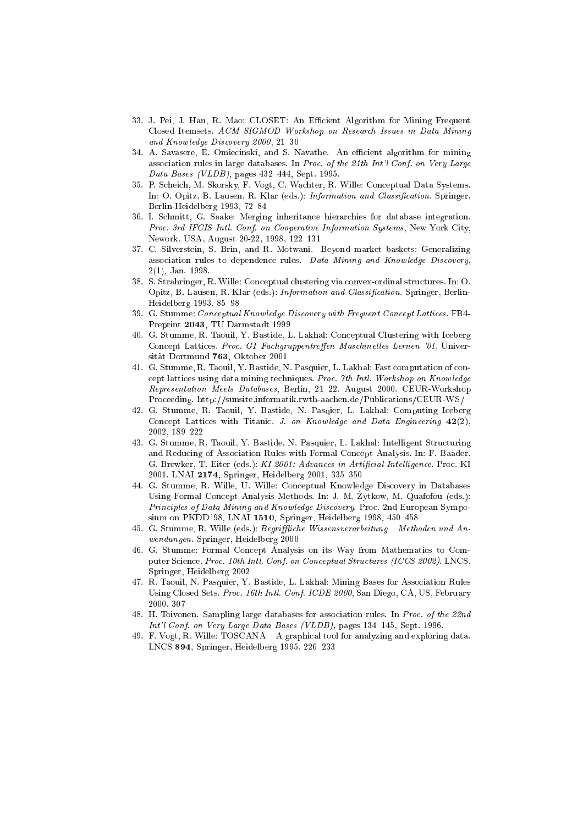- 33. J. Pei, J. Han, R. Mao: CLOSET: An Efficient Algorithm for Mining Frequent Closed Itemsets. ACM SIGMOD Workshop on Research Issues in Data Mining and Knowledge Discovery 2000, 21-30
- 34. A. Savasere, E. Omiecinski, and S. Navathe. An efficient algorithm for mining association rules in large databases. In Proc. of the 21th Int'l Conf. on Very Large Data Bases (VLDB), pages 432-444, Sept. 1995.
- 35. P. Scheich, M. Skorsky, F. Vogt, C. Wachter, R. Wille: Conceptual Data Systems. In: O. Opitz, B. Lausen, R. Klar (eds.): Information and Classification. Springer, Berlin-Heidelberg 1993, 72-84
- 36. I. Schmitt, G. Saake: Merging inheritance hierarchies for database integration. Proc. 3rd IFCIS Intl. Conf. on Cooperative Information Systems, New York City, Nework, USA, August 20-22, 1998, 122-131
- 37. C. Silverstein, S. Brin, and R. Motwani. Beyond market baskets: Generalizing association rules to dependence rules. Data Mining and Knowledge Discovery,  $2(1)$ . Jan. 1998.
- 38. S. Strahringer, R. Wille: Conceptual clustering via convex-ordinal structures. In: O. Opitz, B. Lausen, R. Klar (eds.): Information and Classification. Springer, Berlin-Heidelberg 1993, 85-98
- 39. G. Stumme: Conceptual Knowledge Discovery with Frequent Concept Lattices. FB4-Preprint 2043, TU Darmstadt 1999
- 40. G. Stumme, R. Taouil, Y. Bastide, L. Lakhal: Conceptual Clustering with Iceberg Concept Lattices. Proc. GI-Fachgruppentreffen Maschinelles Lernen '01. Universität Dortmund 763, Oktober 2001
- 41. G. Stumme, R. Taouil, Y. Bastide, N. Pasquier, L. Lakhal: Fast computation of concept lattices using data mining techniques. Proc. 7th Intl. Workshop on Knowledge Representation Meets Databases, Berlin, 21-22. August 2000. CEUR-Workshop Proceeding. http://sunsite.informatik.rwth-aachen.de/Publications/CEUR-WS/
- 42. G. Stumme, R. Taouil, Y. Bastide, N. Pasqier, L. Lakhal: Computing Iceberg Concept Lattices with Titanic. J. on Knowledge and Data Engineering  $42(2)$ , 2002, 189-222
- 43. G. Stumme, R. Taouil, Y. Bastide, N. Pasquier, L. Lakhal: Intelligent Structuring and Reducing of Association Rules with Formal Concept Analysis. In: F. Baader. G. Brewker, T. Eiter (eds.): KI 2001: Advances in Artificial Intelligence. Proc. KI 2001. LNAI 2174, Springer, Heidelberg 2001, 335-350
- 44. G. Stumme, R. Wille, U. Wille: Conceptual Knowledge Discovery in Databases Using Formal Concept Analysis Methods. In: J. M. Zytkow, M. Quafofou (eds.): Principles of Data Mining and Knowledge Discovery. Proc. 2nd European Symposium on PKDD '98, LNAI 1510, Springer, Heidelberg 1998, 450-458
- 45. G. Stumme, R. Wille (eds.): Begriffliche Wissensverarbeitung Methoden und Anwendungen. Springer, Heidelberg 2000
- 46. G. Stumme: Formal Concept Analysis on its Way from Mathematics to Computer Science. Proc. 10th Intl. Conf. on Conceptual Structures (ICCS 2002). LNCS, Springer, Heidelberg 2002
- 47. R. Taouil, N. Pasquier, Y. Bastide, L. Lakhal: Mining Bases for Association Rules Using Closed Sets. Proc. 16th Intl. Conf. ICDE 2000, San Diego, CA, US, February 2000. 307
- 48. H. Toivonen. Sampling large databases for association rules. In Proc. of the 22nd Int'l Conf. on Very Large Data Bases (VLDB), pages 134-145, Sept. 1996.
- 49. F. Vogt, R. Wille: TOSCANA A graphical tool for analyzing and exploring data. LNCS 894, Springer, Heidelberg 1995, 226-233